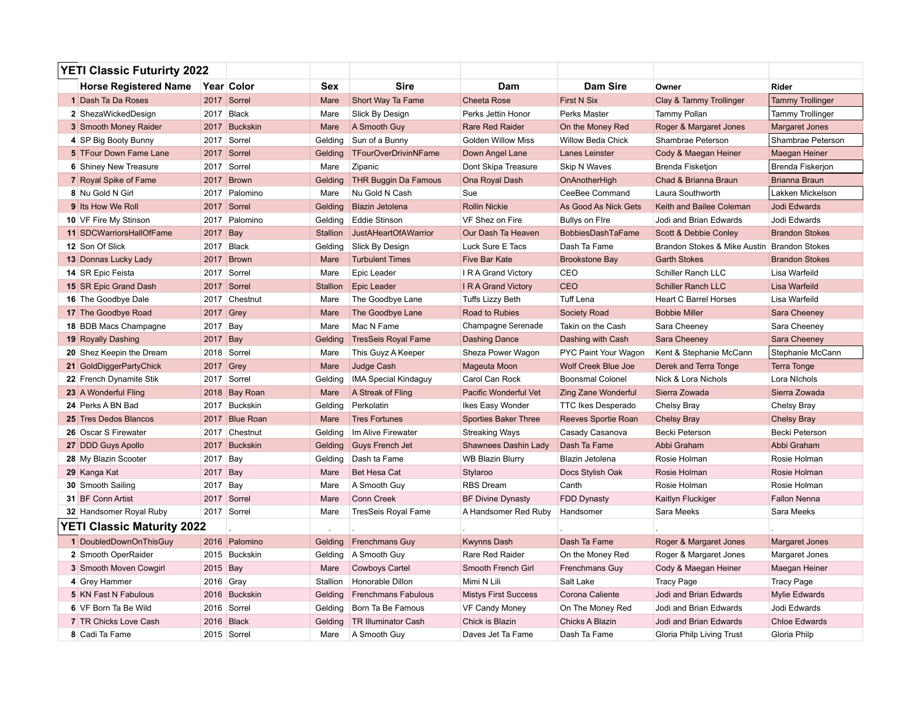| <b>YETI Classic Futurirty 2022</b> |                               |             |                |                 |                              |                              |                            |                                             |                         |
|------------------------------------|-------------------------------|-------------|----------------|-----------------|------------------------------|------------------------------|----------------------------|---------------------------------------------|-------------------------|
|                                    | <b>Horse Registered Name</b>  |             | Year Color     | Sex             | <b>Sire</b>                  | Dam                          | <b>Dam Sire</b>            | Owner                                       | <b>Rider</b>            |
|                                    | 1 Dash Ta Da Roses            |             | 2017 Sorrel    | Mare            | Short Way Ta Fame            | <b>Cheeta Rose</b>           | <b>First N Six</b>         | Clay & Tammy Trollinger                     | <b>Tammy Trollinger</b> |
|                                    | 2 ShezaWickedDesign           |             | 2017 Black     | Mare            | Slick By Design              | Perks Jettin Honor           | Perks Master               | Tammy Pollan                                | <b>Tammy Trollinger</b> |
|                                    | 3 Smooth Money Raider         |             | 2017 Buckskin  | Mare            | A Smooth Guy                 | <b>Rare Red Raider</b>       | On the Money Red           | Roger & Margaret Jones                      | Margaret Jones          |
|                                    | 4 SP Big Booty Bunny          |             | 2017 Sorrel    | Gelding         | Sun of a Bunny               | <b>Golden Willow Miss</b>    | Willow Beda Chick          | Shambrae Peterson                           | Shambrae Peterson       |
|                                    | <b>5</b> TFour Down Fame Lane |             | 2017 Sorrel    | Gelding         | TFourOverDrivinNFame         | Down Angel Lane              | <b>Lanes Leinster</b>      | Cody & Maegan Heiner                        | Maegan Heiner           |
|                                    | <b>6</b> Shiney New Treasure  |             | 2017 Sorrel    | Mare            | Zipanic                      | Dont Skipa Treasure          | <b>Skip N Waves</b>        | <b>Brenda Fisketion</b>                     | Brenda Fiskerjon        |
|                                    | <b>7</b> Royal Spike of Fame  |             | 2017 Brown     | Gelding         | <b>THR Buggin Da Famous</b>  | Ona Royal Dash               | OnAnotherHigh              | Chad & Brianna Braun                        | <b>Brianna Braun</b>    |
|                                    | 8 Nu Gold N Girl              |             | 2017 Palomino  | Mare            | Nu Gold N Cash               | Sue                          | CeeBee Command             | Laura Southworth                            | Lakken Mickelson        |
|                                    | 9 Its How We Roll             |             | 2017 Sorrel    | Gelding         | <b>Blazin Jetolena</b>       | <b>Rollin Nickie</b>         | As Good As Nick Gets       | Keith and Bailee Coleman                    | Jodi Edwards            |
|                                    | 10 VF Fire My Stinson         |             | 2017 Palomino  | Gelding         | <b>Eddie Stinson</b>         | VF Shez on Fire              | <b>Bullys on Fire</b>      | Jodi and Brian Edwards                      | Jodi Edwards            |
|                                    | 11 SDCWarriorsHallOfFame      | 2017 Bay    |                | <b>Stallion</b> | <b>JustAHeartOfAWarrior</b>  | Our Dash Ta Heaven           | BobbiesDashTaFame          | Scott & Debbie Conley                       | <b>Brandon Stokes</b>   |
|                                    | 12 Son Of Slick               | 2017 Black  |                | Gelding         | Slick By Design              | Luck Sure E Tacs             | Dash Ta Fame               | Brandon Stokes & Mike Austin Brandon Stokes |                         |
|                                    | <b>13 Donnas Lucky Lady</b>   |             | 2017 Brown     | Mare            | <b>Turbulent Times</b>       | <b>Five Bar Kate</b>         | <b>Brookstone Bay</b>      | <b>Garth Stokes</b>                         | <b>Brandon Stokes</b>   |
|                                    | 14 SR Epic Feista             |             | 2017 Sorrel    | Mare            | Epic Leader                  | I R A Grand Victory          | CEO                        | Schiller Ranch LLC                          | Lisa Warfeild           |
|                                    | <b>15 SR Epic Grand Dash</b>  |             | 2017 Sorrel    | <b>Stallion</b> | <b>Epic Leader</b>           | <b>IRA Grand Victory</b>     | <b>CEO</b>                 | <b>Schiller Ranch LLC</b>                   | Lisa Warfeild           |
|                                    | 16 The Goodbye Dale           |             | 2017 Chestnut  | Mare            | The Goodbye Lane             | <b>Tuffs Lizzy Beth</b>      | <b>Tuff Lena</b>           | <b>Heart C Barrel Horses</b>                | Lisa Warfeild           |
|                                    | 17 The Goodbye Road           | 2017 Grey   |                | Mare            | The Goodbye Lane             | Road to Rubies               | Society Road               | <b>Bobbie Miller</b>                        | Sara Cheeney            |
|                                    | 18 BDB Macs Champagne         | 2017 Bay    |                | Mare            | Mac N Fame                   | Champagne Serenade           | Takin on the Cash          | Sara Cheeney                                | Sara Cheeney            |
|                                    | <b>19 Royally Dashing</b>     | 2017 Bay    |                | Gelding         | <b>TresSeis Royal Fame</b>   | <b>Dashing Dance</b>         | Dashing with Cash          | Sara Cheeney                                | Sara Cheeney            |
|                                    | 20 Shez Keepin the Dream      |             | 2018 Sorrel    | Mare            | This Guyz A Keeper           | Sheza Power Wagon            | PYC Paint Your Wagon       | Kent & Stephanie McCann                     | Stephanie McCann        |
|                                    | 21 GoldDiggerPartyChick       | $2017$ Grey |                | Mare            | Judge Cash                   | Mageuta Moon                 | <b>Wolf Creek Blue Joe</b> | Derek and Terra Tonge                       | <b>Terra Tonge</b>      |
|                                    | 22 French Dynamite Stik       |             | 2017 Sorrel    | Gelding         | <b>IMA Special Kindaguy</b>  | Carol Can Rock               | <b>Boonsmal Colonel</b>    | Nick & Lora Nichols                         | Lora Nichols            |
|                                    | 23 A Wonderful Fling          |             | 2018 Bay Roan  | Mare            | A Streak of Fling            | <b>Pacific Wonderful Vet</b> | <b>Zing Zane Wonderful</b> | Sierra Zowada                               | Sierra Zowada           |
|                                    | 24 Perks A BN Bad             |             | 2017 Buckskin  | Gelding         | Perkolatin                   | Ikes Easy Wonder             | <b>TTC Ikes Desperado</b>  | <b>Chelsy Bray</b>                          | <b>Chelsy Bray</b>      |
|                                    | 25 Tres Dedos Blancos         |             | 2017 Blue Roan | Mare            | <b>Tres Fortunes</b>         | <b>Sporties Baker Three</b>  | Reeves Sportie Roan        | <b>Chelsy Bray</b>                          | <b>Chelsy Bray</b>      |
|                                    | 26 Oscar S Firewater          |             | 2017 Chestnut  |                 | Gelding   Im Alive Firewater | <b>Streaking Ways</b>        | Casady Casanova            | Becki Peterson                              | Becki Peterson          |
|                                    | 27 DDD Guys Apollo            |             | 2017 Buckskin  | Gelding         | <b>Guys French Jet</b>       | Shawnees Dashin Lady         | Dash Ta Fame               | Abbi Graham                                 | Abbi Graham             |
|                                    | 28 My Blazin Scooter          | 2017 Bay    |                | Gelding         | Dash ta Fame                 | <b>WB Blazin Blurry</b>      | Blazin Jetolena            | Rosie Holman                                | Rosie Holman            |
|                                    | 29 Kanga Kat                  | 2017 Bay    |                | Mare            | <b>Bet Hesa Cat</b>          | Stylaroo                     | Docs Stylish Oak           | Rosie Holman                                | Rosie Holman            |
|                                    | 30 Smooth Sailing             | 2017 Bay    |                | Mare            | A Smooth Guy                 | <b>RBS</b> Dream             | Canth                      | Rosie Holman                                | Rosie Holman            |
|                                    | 31 BF Conn Artist             |             | 2017 Sorrel    | Mare            | Conn Creek                   | <b>BF Divine Dynasty</b>     | FDD Dynasty                | Kaitlyn Fluckiger                           | <b>Fallon Nenna</b>     |
|                                    | 32 Handsomer Royal Ruby       |             | 2017 Sorrel    | Mare            | <b>TresSeis Royal Fame</b>   | A Handsomer Red Ruby         | Handsomer                  | Sara Meeks                                  | Sara Meeks              |
| YETI Classic Maturity 2022         |                               |             |                |                 |                              |                              |                            |                                             |                         |
|                                    | 1 DoubledDownOnThisGuy        |             | 2016 Palomino  | Gelding         | <b>Frenchmans Guy</b>        | <b>Kwynns Dash</b>           | Dash Ta Fame               | Roger & Margaret Jones                      | <b>Margaret Jones</b>   |
|                                    | 2 Smooth OperRaider           |             | 2015 Buckskin  | Gelding         | A Smooth Guy                 | Rare Red Raider              | On the Money Red           | Roger & Margaret Jones                      | Margaret Jones          |
|                                    | 3 Smooth Moven Cowgirl        | 2015 Bay    |                | Mare            | <b>Cowboys Cartel</b>        | Smooth French Girl           | Frenchmans Guy             | Cody & Maegan Heiner                        | Maegan Heiner           |
|                                    | 4 Grey Hammer                 | 2016 Gray   |                | Stallion        | Honorable Dillon             | Mimi N Lili                  | Salt Lake                  | Tracy Page                                  | <b>Tracy Page</b>       |
|                                    | <b>5 KN Fast N Fabulous</b>   |             | 2016 Buckskin  | Gelding         | <b>Frenchmans Fabulous</b>   | <b>Mistys First Success</b>  | Corona Caliente            | Jodi and Brian Edwards                      | <b>Mylie Edwards</b>    |
|                                    | 6 VF Born Ta Be Wild          |             | 2016 Sorrel    | Gelding         | Born Ta Be Famous            | <b>VF Candy Money</b>        | On The Money Red           | Jodi and Brian Edwards                      | Jodi Edwards            |
|                                    | 7 TR Chicks Love Cash         |             | 2016 Black     | Gelding         | <b>TR Illuminator Cash</b>   | Chick is Blazin              | Chicks A Blazin            | Jodi and Brian Edwards                      | <b>Chloe Edwards</b>    |
|                                    | 8 Cadi Ta Fame                |             | 2015 Sorrel    | Mare            | A Smooth Guy                 | Daves Jet Ta Fame            | Dash Ta Fame               | Gloria Philp Living Trust                   | Gloria Philp            |